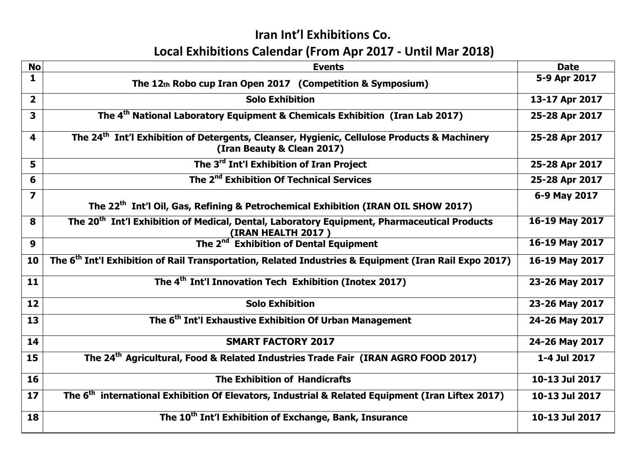## Iran Int'l Exhibitions Co. Local Exhibitions Calendar (From Apr 2017 - Until Mar 2018)

| <b>No</b>               | <b>Events</b>                                                                                                                         | <b>Date</b>    |
|-------------------------|---------------------------------------------------------------------------------------------------------------------------------------|----------------|
|                         |                                                                                                                                       |                |
| $\mathbf{1}$            | The 12th Robo cup Iran Open 2017 (Competition & Symposium)                                                                            | 5-9 Apr 2017   |
| $\overline{\mathbf{2}}$ | <b>Solo Exhibition</b>                                                                                                                | 13-17 Apr 2017 |
| 3                       | The 4 <sup>th</sup> National Laboratory Equipment & Chemicals Exhibition (Iran Lab 2017)                                              | 25-28 Apr 2017 |
| 4                       | The 24 <sup>th</sup> Int'l Exhibition of Detergents, Cleanser, Hygienic, Cellulose Products & Machinery<br>(Iran Beauty & Clean 2017) | 25-28 Apr 2017 |
| 5                       | The 3 <sup>rd</sup> Int'l Exhibition of Iran Project                                                                                  | 25-28 Apr 2017 |
| 6                       | The 2 <sup>nd</sup> Exhibition Of Technical Services                                                                                  | 25-28 Apr 2017 |
| $\overline{z}$          | The 22 <sup>th</sup> Int'l Oil, Gas, Refining & Petrochemical Exhibition (IRAN OIL SHOW 2017)                                         | 6-9 May 2017   |
|                         |                                                                                                                                       |                |
| 8                       | The 20 <sup>th</sup> Int'l Exhibition of Medical, Dental, Laboratory Equipment, Pharmaceutical Products                               | 16-19 May 2017 |
| 9                       | <b>(IRAN HEALTH 2017)</b><br>The 2 <sup>nd</sup> Exhibition of Dental Equipment                                                       | 16-19 May 2017 |
| 10                      | The 6 <sup>th</sup> Int'l Exhibition of Rail Transportation, Related Industries & Equipment (Iran Rail Expo 2017)                     | 16-19 May 2017 |
| 11                      | The 4 <sup>th</sup> Int'l Innovation Tech Exhibition (Inotex 2017)                                                                    | 23-26 May 2017 |
| 12                      | <b>Solo Exhibition</b>                                                                                                                | 23-26 May 2017 |
| 13                      | The 6 <sup>th</sup> Int'l Exhaustive Exhibition Of Urban Management                                                                   | 24-26 May 2017 |
| 14                      | <b>SMART FACTORY 2017</b>                                                                                                             | 24-26 May 2017 |
| 15                      | The 24 <sup>th</sup> Agricultural, Food & Related Industries Trade Fair (IRAN AGRO FOOD 2017)                                         | 1-4 Jul 2017   |
| 16                      | <b>The Exhibition of Handicrafts</b>                                                                                                  | 10-13 Jul 2017 |
| 17                      | The 6 <sup>th</sup> international Exhibition Of Elevators, Industrial & Related Equipment (Iran Liftex 2017)                          | 10-13 Jul 2017 |
| 18                      | The 10 <sup>th</sup> Int'l Exhibition of Exchange, Bank, Insurance                                                                    | 10-13 Jul 2017 |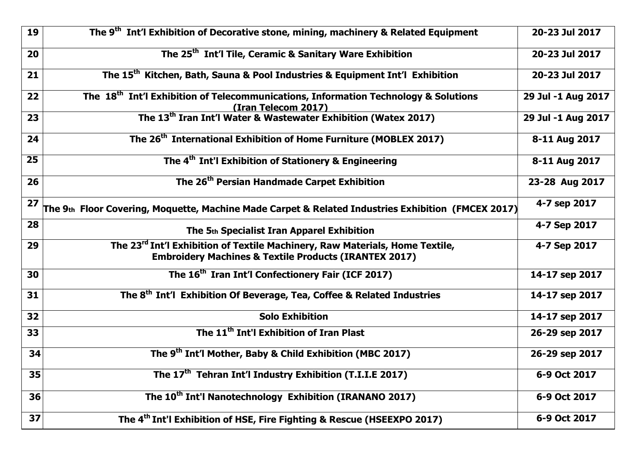| 19              | The 9 <sup>th</sup> Int'l Exhibition of Decorative stone, mining, machinery & Related Equipment                                                              | 20-23 Jul 2017     |
|-----------------|--------------------------------------------------------------------------------------------------------------------------------------------------------------|--------------------|
| 20              | The 25 <sup>th</sup> Int'l Tile, Ceramic & Sanitary Ware Exhibition                                                                                          | 20-23 Jul 2017     |
| 21              | The 15 <sup>th</sup> Kitchen, Bath, Sauna & Pool Industries & Equipment Int'l Exhibition                                                                     | 20-23 Jul 2017     |
| 22              | The 18 <sup>th</sup> Int'l Exhibition of Telecommunications, Information Technology & Solutions<br>(Iran Telecom 2017)                                       | 29 Jul -1 Aug 2017 |
| 23              | The 13 <sup>th</sup> Iran Int'l Water & Wastewater Exhibition (Watex 2017)                                                                                   | 29 Jul -1 Aug 2017 |
| 24              | The 26 <sup>th</sup> International Exhibition of Home Furniture (MOBLEX 2017)                                                                                | 8-11 Aug 2017      |
| $\overline{25}$ | The 4 <sup>th</sup> Int'l Exhibition of Stationery & Engineering                                                                                             | 8-11 Aug 2017      |
| 26              | The 26 <sup>th</sup> Persian Handmade Carpet Exhibition                                                                                                      | 23-28 Aug 2017     |
| 27              | The 9th Floor Covering, Moquette, Machine Made Carpet & Related Industries Exhibition (FMCEX 2017)                                                           | 4-7 sep 2017       |
| 28              | The 5th Specialist Iran Apparel Exhibition                                                                                                                   | 4-7 Sep 2017       |
| 29              | The 23 <sup>rd</sup> Int'l Exhibition of Textile Machinery, Raw Materials, Home Textile,<br><b>Embroidery Machines &amp; Textile Products (IRANTEX 2017)</b> | 4-7 Sep 2017       |
| 30              | The 16 <sup>th</sup> Iran Int'l Confectionery Fair (ICF 2017)                                                                                                | 14-17 sep 2017     |
| 31              | The 8 <sup>th</sup> Int'l Exhibition Of Beverage, Tea, Coffee & Related Industries                                                                           | 14-17 sep 2017     |
| 32              | <b>Solo Exhibition</b>                                                                                                                                       | 14-17 sep 2017     |
| 33              | The 11 <sup>th</sup> Int'l Exhibition of Iran Plast                                                                                                          | 26-29 sep 2017     |
| 34              | The 9 <sup>th</sup> Int'l Mother, Baby & Child Exhibition (MBC 2017)                                                                                         | 26-29 sep 2017     |
| 35              | The 17 <sup>th</sup> Tehran Int'l Industry Exhibition (T.I.I.E 2017)                                                                                         | 6-9 Oct 2017       |
| 36              | The 10 <sup>th</sup> Int'l Nanotechnology Exhibition (IRANANO 2017)                                                                                          | 6-9 Oct 2017       |
| 37              | The 4 <sup>th</sup> Int'l Exhibition of HSE, Fire Fighting & Rescue (HSEEXPO 2017)                                                                           | 6-9 Oct 2017       |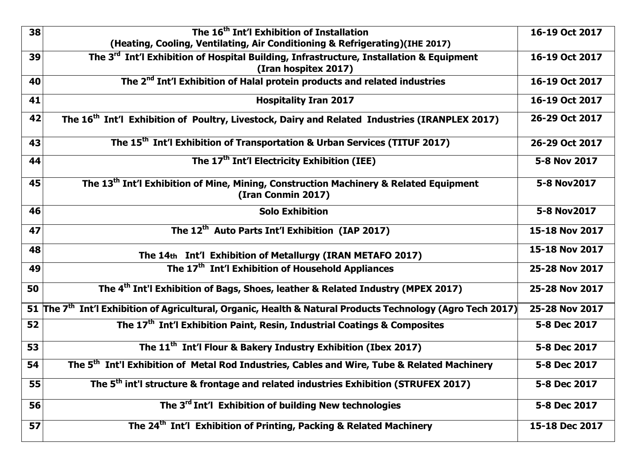| 38 | The 16 <sup>th</sup> Int'l Exhibition of Installation<br>(Heating, Cooling, Ventilating, Air Conditioning & Refrigerating)(IHE 2017) | 16-19 Oct 2017 |
|----|--------------------------------------------------------------------------------------------------------------------------------------|----------------|
| 39 | The 3 <sup>rd</sup> Int'l Exhibition of Hospital Building, Infrastructure, Installation & Equipment<br>(Iran hospitex 2017)          | 16-19 Oct 2017 |
| 40 | The 2 <sup>nd</sup> Int'l Exhibition of Halal protein products and related industries                                                | 16-19 Oct 2017 |
| 41 | <b>Hospitality Iran 2017</b>                                                                                                         | 16-19 Oct 2017 |
| 42 | The 16 <sup>th</sup> Int'l Exhibition of Poultry, Livestock, Dairy and Related Industries (IRANPLEX 2017)                            | 26-29 Oct 2017 |
| 43 | The 15 <sup>th</sup> Int'l Exhibition of Transportation & Urban Services (TITUF 2017)                                                | 26-29 Oct 2017 |
| 44 | The 17 <sup>th</sup> Int'l Electricity Exhibition (IEE)                                                                              | 5-8 Nov 2017   |
| 45 | The 13 <sup>th</sup> Int'l Exhibition of Mine, Mining, Construction Machinery & Related Equipment<br>(Iran Conmin 2017)              | 5-8 Nov2017    |
| 46 | <b>Solo Exhibition</b>                                                                                                               | 5-8 Nov2017    |
| 47 | The 12 <sup>th</sup> Auto Parts Int'l Exhibition (IAP 2017)                                                                          | 15-18 Nov 2017 |
| 48 | The 14th Int'l Exhibition of Metallurgy (IRAN METAFO 2017)                                                                           | 15-18 Nov 2017 |
| 49 | The 17 <sup>th</sup> Int'l Exhibition of Household Appliances                                                                        | 25-28 Nov 2017 |
| 50 | The 4 <sup>th</sup> Int'l Exhibition of Bags, Shoes, leather & Related Industry (MPEX 2017)                                          | 25-28 Nov 2017 |
|    | 51 The 7 <sup>th</sup> Int'l Exhibition of Agricultural, Organic, Health & Natural Products Technology (Agro Tech 2017)              | 25-28 Nov 2017 |
| 52 | The 17 <sup>th</sup> Int'l Exhibition Paint, Resin, Industrial Coatings & Composites                                                 | 5-8 Dec 2017   |
| 53 | The 11 <sup>th</sup> Int'l Flour & Bakery Industry Exhibition (Ibex 2017)                                                            | 5-8 Dec 2017   |
| 54 | The 5 <sup>th</sup> Int'l Exhibition of Metal Rod Industries, Cables and Wire, Tube & Related Machinery                              | 5-8 Dec 2017   |
| 55 | The 5 <sup>th</sup> int'l structure & frontage and related industries Exhibition (STRUFEX 2017)                                      | 5-8 Dec 2017   |
| 56 | The 3 <sup>rd</sup> Int'l Exhibition of building New technologies                                                                    | 5-8 Dec 2017   |
| 57 | The 24 <sup>th</sup> Int'l Exhibition of Printing, Packing & Related Machinery                                                       | 15-18 Dec 2017 |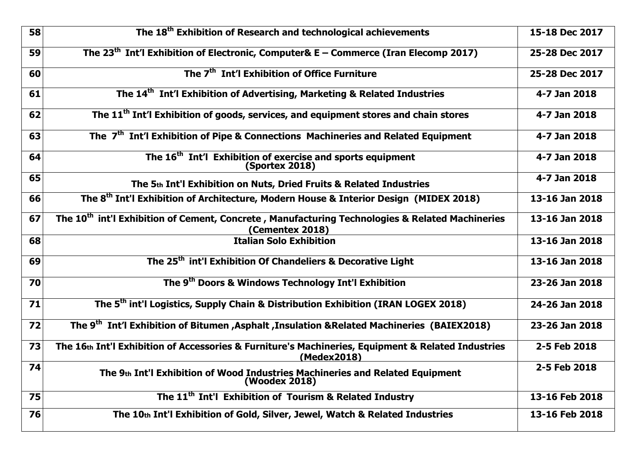| 58 | The 18 <sup>th</sup> Exhibition of Research and technological achievements                                                     | 15-18 Dec 2017 |
|----|--------------------------------------------------------------------------------------------------------------------------------|----------------|
| 59 | The 23 <sup>th</sup> Int'l Exhibition of Electronic, Computer& E – Commerce (Iran Elecomp 2017)                                | 25-28 Dec 2017 |
| 60 | The 7 <sup>th</sup> Int'l Exhibition of Office Furniture                                                                       | 25-28 Dec 2017 |
| 61 | The 14 <sup>th</sup> Int'l Exhibition of Advertising, Marketing & Related Industries                                           | 4-7 Jan 2018   |
| 62 | The 11 <sup>th</sup> Int'l Exhibition of goods, services, and equipment stores and chain stores                                | 4-7 Jan 2018   |
| 63 | The 7 <sup>th</sup> Int'l Exhibition of Pipe & Connections Machineries and Related Equipment                                   | 4-7 Jan 2018   |
| 64 | The 16 <sup>th</sup> Int'l Exhibition of exercise and sports equipment<br><b>(Sportex 2018)</b>                                | 4-7 Jan 2018   |
| 65 | The 5th Int'l Exhibition on Nuts, Dried Fruits & Related Industries                                                            | 4-7 Jan 2018   |
| 66 | The 8 <sup>th</sup> Int'l Exhibition of Architecture, Modern House & Interior Design (MIDEX 2018)                              | 13-16 Jan 2018 |
| 67 | The 10 <sup>th</sup> int'l Exhibition of Cement, Concrete, Manufacturing Technologies & Related Machineries<br>(Cementex 2018) | 13-16 Jan 2018 |
| 68 | <b>Italian Solo Exhibition</b>                                                                                                 | 13-16 Jan 2018 |
| 69 | The 25 <sup>th</sup> int'l Exhibition Of Chandeliers & Decorative Light                                                        | 13-16 Jan 2018 |
| 70 | The 9 <sup>th</sup> Doors & Windows Technology Int'l Exhibition                                                                | 23-26 Jan 2018 |
| 71 | The 5 <sup>th</sup> int'l Logistics, Supply Chain & Distribution Exhibition (IRAN LOGEX 2018)                                  | 24-26 Jan 2018 |
| 72 | The 9 <sup>th</sup> Int'l Exhibition of Bitumen , Asphalt , Insulation & Related Machineries (BAIEX2018)                       | 23-26 Jan 2018 |
| 73 | The 16th Int'l Exhibition of Accessories & Furniture's Machineries, Equipment & Related Industries<br>(Medex2018)              | 2-5 Feb 2018   |
| 74 | The 9th Int'l Exhibition of Wood Industries Machineries and Related Equipment<br>(Woodex 2018)                                 | 2-5 Feb 2018   |
| 75 | The 11 <sup>th</sup> Int'l Exhibition of Tourism & Related Industry                                                            | 13-16 Feb 2018 |
| 76 | The 10th Int'l Exhibition of Gold, Silver, Jewel, Watch & Related Industries                                                   | 13-16 Feb 2018 |